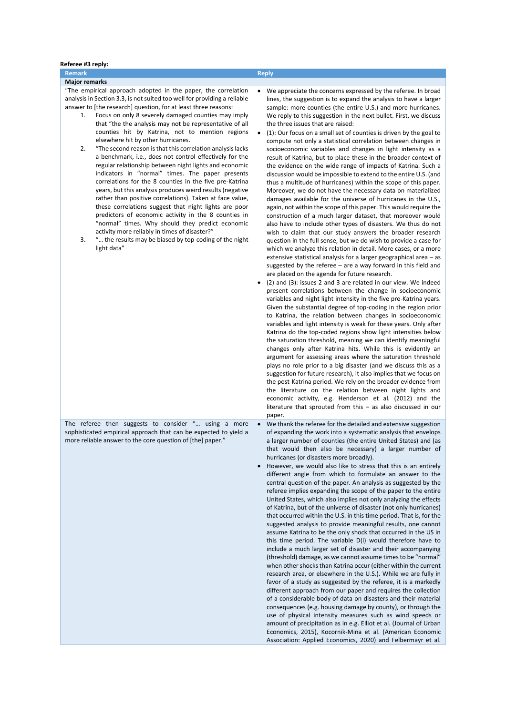| Referee #3 reply:                                                                                                                                                                                                                                                                                                                                                                                                                                                                                                                                                                                                                                                                                                                                                                                                                                                                                                                                                                                                                                                                                                                                                                          |                                                                                                                                                                                                                                                                                                                                                                                                                                                                                                                                                                                                                                                                                                                                                                                                                                                                                                                                                                                                                                                                                                                                                                                                                                                                                                                                                                                                                                                                                                                                                                                                                                                                                                                                                                                                                                                                                                                                                                                                                                                                                                                                                                                                                                                                                                                                                                                                                                                                                                                                                                                                                                        |
|--------------------------------------------------------------------------------------------------------------------------------------------------------------------------------------------------------------------------------------------------------------------------------------------------------------------------------------------------------------------------------------------------------------------------------------------------------------------------------------------------------------------------------------------------------------------------------------------------------------------------------------------------------------------------------------------------------------------------------------------------------------------------------------------------------------------------------------------------------------------------------------------------------------------------------------------------------------------------------------------------------------------------------------------------------------------------------------------------------------------------------------------------------------------------------------------|----------------------------------------------------------------------------------------------------------------------------------------------------------------------------------------------------------------------------------------------------------------------------------------------------------------------------------------------------------------------------------------------------------------------------------------------------------------------------------------------------------------------------------------------------------------------------------------------------------------------------------------------------------------------------------------------------------------------------------------------------------------------------------------------------------------------------------------------------------------------------------------------------------------------------------------------------------------------------------------------------------------------------------------------------------------------------------------------------------------------------------------------------------------------------------------------------------------------------------------------------------------------------------------------------------------------------------------------------------------------------------------------------------------------------------------------------------------------------------------------------------------------------------------------------------------------------------------------------------------------------------------------------------------------------------------------------------------------------------------------------------------------------------------------------------------------------------------------------------------------------------------------------------------------------------------------------------------------------------------------------------------------------------------------------------------------------------------------------------------------------------------------------------------------------------------------------------------------------------------------------------------------------------------------------------------------------------------------------------------------------------------------------------------------------------------------------------------------------------------------------------------------------------------------------------------------------------------------------------------------------------------|
| <b>Remark</b>                                                                                                                                                                                                                                                                                                                                                                                                                                                                                                                                                                                                                                                                                                                                                                                                                                                                                                                                                                                                                                                                                                                                                                              | <b>Reply</b>                                                                                                                                                                                                                                                                                                                                                                                                                                                                                                                                                                                                                                                                                                                                                                                                                                                                                                                                                                                                                                                                                                                                                                                                                                                                                                                                                                                                                                                                                                                                                                                                                                                                                                                                                                                                                                                                                                                                                                                                                                                                                                                                                                                                                                                                                                                                                                                                                                                                                                                                                                                                                           |
| <b>Major remarks</b><br>"The empirical approach adopted in the paper, the correlation<br>analysis in Section 3.3, is not suited too well for providing a reliable<br>answer to [the research] question, for at least three reasons:<br>Focus on only 8 severely damaged counties may imply<br>1.<br>that "the the analysis may not be representative of all<br>counties hit by Katrina, not to mention regions<br>elsewhere hit by other hurricanes.<br>2.<br>"The second reason is that this correlation analysis lacks<br>a benchmark, i.e., does not control effectively for the<br>regular relationship between night lights and economic<br>indicators in "normal" times. The paper presents<br>correlations for the 8 counties in the five pre-Katrina<br>years, but this analysis produces weird results (negative<br>rather than positive correlations). Taken at face value,<br>these correlations suggest that night lights are poor<br>predictors of economic activity in the 8 counties in<br>"normal" times. Why should they predict economic<br>activity more reliably in times of disaster?"<br>3.<br>" the results may be biased by top-coding of the night<br>light data" | We appreciate the concerns expressed by the referee. In broad<br>$\bullet$<br>lines, the suggestion is to expand the analysis to have a larger<br>sample: more counties (the entire U.S.) and more hurricanes.<br>We reply to this suggestion in the next bullet. First, we discuss<br>the three issues that are raised:<br>(1): Our focus on a small set of counties is driven by the goal to<br>$\bullet$<br>compute not only a statistical correlation between changes in<br>socioeconomic variables and changes in light intensity as a<br>result of Katrina, but to place these in the broader context of<br>the evidence on the wide range of impacts of Katrina. Such a<br>discussion would be impossible to extend to the entire U.S. (and<br>thus a multitude of hurricanes) within the scope of this paper.<br>Moreover, we do not have the necessary data on materialized<br>damages available for the universe of hurricanes in the U.S.,<br>again, not within the scope of this paper. This would require the<br>construction of a much larger dataset, that moreover would<br>also have to include other types of disasters. We thus do not<br>wish to claim that our study answers the broader research<br>question in the full sense, but we do wish to provide a case for<br>which we analyze this relation in detail. More cases, or a more<br>extensive statistical analysis for a larger geographical area – as<br>suggested by the referee $-$ are a way forward in this field and<br>are placed on the agenda for future research.<br>(2) and (3): issues 2 and 3 are related in our view. We indeed<br>٠<br>present correlations between the change in socioeconomic<br>variables and night light intensity in the five pre-Katrina years.<br>Given the substantial degree of top-coding in the region prior<br>to Katrina, the relation between changes in socioeconomic<br>variables and light intensity is weak for these years. Only after<br>Katrina do the top-coded regions show light intensities below<br>the saturation threshold, meaning we can identify meaningful<br>changes only after Katrina hits. While this is evidently an<br>argument for assessing areas where the saturation threshold<br>plays no role prior to a big disaster (and we discuss this as a<br>suggestion for future research), it also implies that we focus on<br>the post-Katrina period. We rely on the broader evidence from<br>the literature on the relation between night lights and<br>economic activity, e.g. Henderson et al. (2012) and the<br>literature that sprouted from this $-$ as also discussed in our |
| The referee then suggests to consider " using a more<br>sophisticated empirical approach that can be expected to yield a<br>more reliable answer to the core question of [the] paper."                                                                                                                                                                                                                                                                                                                                                                                                                                                                                                                                                                                                                                                                                                                                                                                                                                                                                                                                                                                                     | paper.<br>We thank the referee for the detailed and extensive suggestion<br>$\bullet$<br>of expanding the work into a systematic analysis that envelops<br>a larger number of counties (the entire United States) and (as<br>that would then also be necessary) a larger number of<br>hurricanes (or disasters more broadly).<br>However, we would also like to stress that this is an entirely<br>different angle from which to formulate an answer to the<br>central question of the paper. An analysis as suggested by the<br>referee implies expanding the scope of the paper to the entire<br>United States, which also implies not only analyzing the effects<br>of Katrina, but of the universe of disaster (not only hurricanes)<br>that occurred within the U.S. in this time period. That is, for the<br>suggested analysis to provide meaningful results, one cannot<br>assume Katrina to be the only shock that occurred in the US in<br>this time period. The variable D(i) would therefore have to<br>include a much larger set of disaster and their accompanying<br>(threshold) damage, as we cannot assume times to be "normal"<br>when other shocks than Katrina occur (either within the current<br>research area, or elsewhere in the U.S.). While we are fully in<br>favor of a study as suggested by the referee, it is a markedly<br>different approach from our paper and requires the collection<br>of a considerable body of data on disasters and their material<br>consequences (e.g. housing damage by county), or through the<br>use of physical intensity measures such as wind speeds or<br>amount of precipitation as in e.g. Elliot et al. (Journal of Urban<br>Economics, 2015), Kocornik-Mina et al. (American Economic<br>Association: Applied Economics, 2020) and Felbermayr et al.                                                                                                                                                                                                                                                                                                                                                                                                                                                                                                                                                                                                                                                                                                                                                                                                             |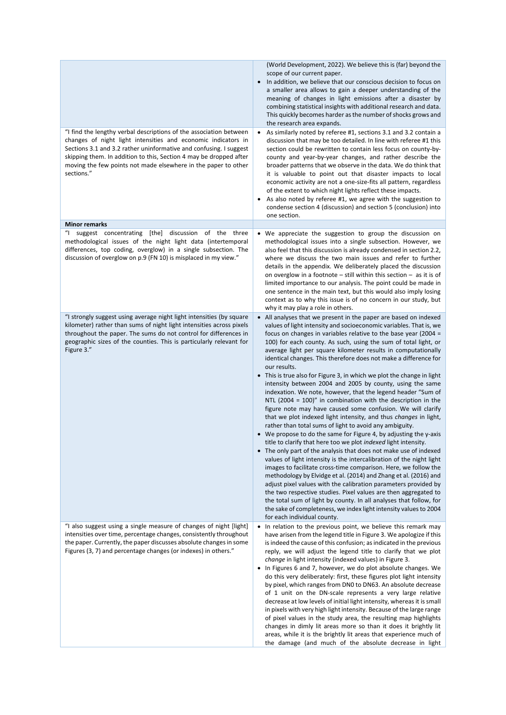|                                                                                                                                                                                                                                                                                                                                                                 | (World Development, 2022). We believe this is (far) beyond the<br>scope of our current paper.<br>In addition, we believe that our conscious decision to focus on<br>$\bullet$<br>a smaller area allows to gain a deeper understanding of the<br>meaning of changes in light emissions after a disaster by<br>combining statistical insights with additional research and data.<br>This quickly becomes harder as the number of shocks grows and<br>the research area expands.                                                                                                                                                                                                                                                                                                                                                                                                                                                                                                                                                                                                                                                                                                                                                                                                                                                                                                                                                                                                                                                                                                                                                                                      |
|-----------------------------------------------------------------------------------------------------------------------------------------------------------------------------------------------------------------------------------------------------------------------------------------------------------------------------------------------------------------|--------------------------------------------------------------------------------------------------------------------------------------------------------------------------------------------------------------------------------------------------------------------------------------------------------------------------------------------------------------------------------------------------------------------------------------------------------------------------------------------------------------------------------------------------------------------------------------------------------------------------------------------------------------------------------------------------------------------------------------------------------------------------------------------------------------------------------------------------------------------------------------------------------------------------------------------------------------------------------------------------------------------------------------------------------------------------------------------------------------------------------------------------------------------------------------------------------------------------------------------------------------------------------------------------------------------------------------------------------------------------------------------------------------------------------------------------------------------------------------------------------------------------------------------------------------------------------------------------------------------------------------------------------------------|
| "I find the lengthy verbal descriptions of the association between<br>changes of night light intensities and economic indicators in<br>Sections 3.1 and 3.2 rather uninformative and confusing. I suggest<br>skipping them. In addition to this, Section 4 may be dropped after<br>moving the few points not made elsewhere in the paper to other<br>sections." | As similarly noted by referee #1, sections 3.1 and 3.2 contain a<br>$\bullet$<br>discussion that may be too detailed. In line with referee #1 this<br>section could be rewritten to contain less focus on county-by-<br>county and year-by-year changes, and rather describe the<br>broader patterns that we observe in the data. We do think that<br>it is valuable to point out that disaster impacts to local<br>economic activity are not a one-size-fits all pattern, regardless<br>of the extent to which night lights reflect these impacts.<br>As also noted by referee #1, we agree with the suggestion to<br>condense section 4 (discussion) and section 5 (conclusion) into<br>one section.                                                                                                                                                                                                                                                                                                                                                                                                                                                                                                                                                                                                                                                                                                                                                                                                                                                                                                                                                             |
| <b>Minor remarks</b>                                                                                                                                                                                                                                                                                                                                            |                                                                                                                                                                                                                                                                                                                                                                                                                                                                                                                                                                                                                                                                                                                                                                                                                                                                                                                                                                                                                                                                                                                                                                                                                                                                                                                                                                                                                                                                                                                                                                                                                                                                    |
| "I suggest concentrating [the] discussion of the three<br>methodological issues of the night light data (intertemporal<br>differences, top coding, overglow) in a single subsection. The<br>discussion of overglow on p.9 (FN 10) is misplaced in my view."                                                                                                     | We appreciate the suggestion to group the discussion on<br>methodological issues into a single subsection. However, we<br>also feel that this discussion is already condensed in section 2.2,<br>where we discuss the two main issues and refer to further<br>details in the appendix. We deliberately placed the discussion<br>on overglow in a footnote $-$ still within this section $-$ as it is of<br>limited importance to our analysis. The point could be made in<br>one sentence in the main text, but this would also imply losing<br>context as to why this issue is of no concern in our study, but<br>why it may play a role in others.                                                                                                                                                                                                                                                                                                                                                                                                                                                                                                                                                                                                                                                                                                                                                                                                                                                                                                                                                                                                               |
| "I strongly suggest using average night light intensities (by square<br>kilometer) rather than sums of night light intensities across pixels<br>throughout the paper. The sums do not control for differences in<br>geographic sizes of the counties. This is particularly relevant for<br>Figure 3."                                                           | • All analyses that we present in the paper are based on indexed<br>values of light intensity and socioeconomic variables. That is, we<br>focus on changes in variables relative to the base year (2004 =<br>100) for each county. As such, using the sum of total light, or<br>average light per square kilometer results in computationally<br>identical changes. This therefore does not make a difference for<br>our results.<br>• This is true also for Figure 3, in which we plot the change in light<br>intensity between 2004 and 2005 by county, using the same<br>indexation. We note, however, that the legend header "Sum of<br>NTL (2004 = 100)" in combination with the description in the<br>figure note may have caused some confusion. We will clarify<br>that we plot indexed light intensity, and thus changes in light,<br>rather than total sums of light to avoid any ambiguity.<br>We propose to do the same for Figure 4, by adjusting the y-axis<br>title to clarify that here too we plot <i>indexed</i> light intensity.<br>The only part of the analysis that does not make use of indexed<br>$\bullet$<br>values of light intensity is the intercalibration of the night light<br>images to facilitate cross-time comparison. Here, we follow the<br>methodology by Elvidge et al. (2014) and Zhang et al. (2016) and<br>adjust pixel values with the calibration parameters provided by<br>the two respective studies. Pixel values are then aggregated to<br>the total sum of light by county. In all analyses that follow, for<br>the sake of completeness, we index light intensity values to 2004<br>for each individual county. |
| "I also suggest using a single measure of changes of night [light]<br>intensities over time, percentage changes, consistently throughout<br>the paper. Currently, the paper discusses absolute changes in some<br>Figures (3, 7) and percentage changes (or indexes) in others."                                                                                | In relation to the previous point, we believe this remark may<br>have arisen from the legend title in Figure 3. We apologize if this<br>is indeed the cause of this confusion; as indicated in the previous<br>reply, we will adjust the legend title to clarify that we plot<br>change in light intensity (indexed values) in Figure 3.<br>• In Figures 6 and 7, however, we do plot absolute changes. We<br>do this very deliberately: first, these figures plot light intensity<br>by pixel, which ranges from DN0 to DN63. An absolute decrease<br>of 1 unit on the DN-scale represents a very large relative<br>decrease at low levels of initial light intensity, whereas it is small<br>in pixels with very high light intensity. Because of the large range<br>of pixel values in the study area, the resulting map highlights<br>changes in dimly lit areas more so than it does it brightly lit<br>areas, while it is the brightly lit areas that experience much of<br>the damage (and much of the absolute decrease in light                                                                                                                                                                                                                                                                                                                                                                                                                                                                                                                                                                                                                           |